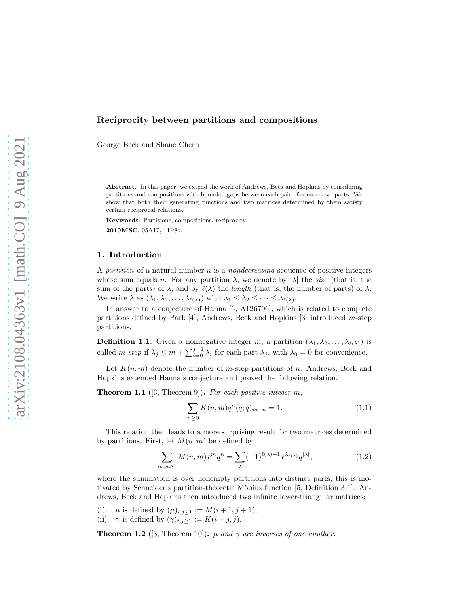# Reciprocity between partitions and compositions

George Beck and Shane Chern

Abstract. In this paper, we extend the work of Andrews, Beck and Hopkins by considering partitions and compositions with bounded gaps between each pair of consecutive parts. We show that both their generating functions and two matrices determined by them satisfy certain reciprocal relations.

Keywords. Partitions, compositions, reciprocity. 2010MSC. 05A17, 11P84.

### 1. Introduction

A partition of a natural number  $n$  is a *nondecreasing* sequence of positive integers whose sum equals n. For any partition  $\lambda$ , we denote by  $|\lambda|$  the *size* (that is, the sum of the parts) of  $\lambda$ , and by  $\ell(\lambda)$  the *length* (that is, the number of parts) of  $\lambda$ . We write  $\lambda$  as  $(\lambda_1, \lambda_2, \ldots, \lambda_{\ell(\lambda)})$  with  $\lambda_1 \leq \lambda_2 \leq \cdots \leq \lambda_{\ell(\lambda)}$ .

In answer to a conjecture of Hanna [\[6,](#page-8-0) A126796], which is related to complete partitions defined by Park [\[4\]](#page-8-1), Andrews, Beck and Hopkins [\[3\]](#page-8-2) introduced m-step partitions.

**Definition 1.1.** Given a nonnegative integer m, a partition  $(\lambda_1, \lambda_2, \ldots, \lambda_{\ell(\lambda)})$  is called *m-step* if  $\lambda_j \leq m + \sum_{i=0}^{j-1} \lambda_i$  for each part  $\lambda_j$ , with  $\lambda_0 = 0$  for convenience.

Let  $K(n, m)$  denote the number of m-step partitions of n. Andrews, Beck and Hopkins extended Hanna's conjecture and proved the following relation.

<span id="page-0-1"></span>**Theorem 1.1** ([\[3,](#page-8-2) Theorem 9]). For each positive integer  $m$ ,

$$
\sum_{n\geq 0} K(n,m)q^n(q;q)_{m+n} = 1.
$$
\n(1.1)

This relation then leads to a more surprising result for two matrices determined by partitions. First, let  $M(n, m)$  be defined by

$$
\sum_{m,n\geq 1} M(n,m)x^m q^n = \sum_{\lambda} (-1)^{\ell(\lambda)+1} x^{\lambda_{\ell(\lambda)}} q^{|\lambda|},\tag{1.2}
$$

where the summation is over nonempty partitions into distinct parts; this is mo-tivated by Schneider's partition-theoretic Möbius function [\[5,](#page-8-3) Definition 3.1]. Andrews, Beck and Hopkins then introduced two infinite lower-triangular matrices:

(i).  $\mu$  is defined by  $(\mu)_{i,j\geq 1} := M(i+1,j+1);$ (ii).  $\gamma$  is defined by  $(\gamma)_{i,j\geq 1} := K(i-j,j)$ .

<span id="page-0-0"></span>**Theorem 1.2** ([\[3,](#page-8-2) Theorem 10]).  $\mu$  and  $\gamma$  are inverses of one another.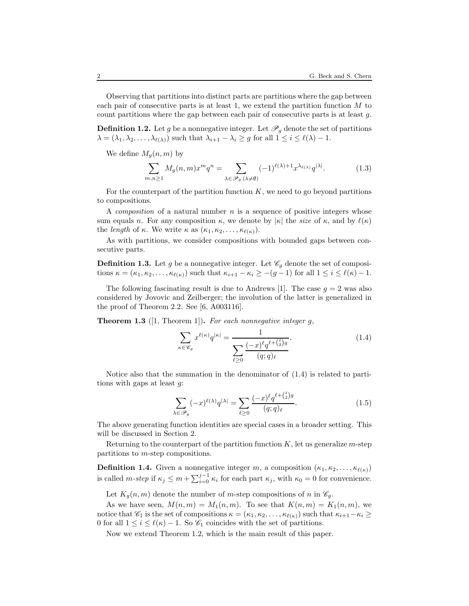Observing that partitions into distinct parts are partitions where the gap between each pair of consecutive parts is at least 1, we extend the partition function M to count partitions where the gap between each pair of consecutive parts is at least  $q$ .

**Definition 1.2.** Let g be a nonnegative integer. Let  $\mathscr{P}_q$  denote the set of partitions  $\lambda = (\lambda_1, \lambda_2, \dots, \lambda_{\ell(\lambda)})$  such that  $\lambda_{i+1} - \lambda_i \geq g$  for all  $1 \leq i \leq \ell(\lambda) - 1$ .

We define  $M_q(n,m)$  by

$$
\sum_{m,n\geq 1} M_g(n,m)x^m q^n = \sum_{\lambda \in \mathscr{P}_g(\lambda \neq \emptyset)} (-1)^{\ell(\lambda)+1} x^{\lambda_{\ell(\lambda)}} q^{|\lambda|}.
$$
 (1.3)

For the counterpart of the partition function  $K$ , we need to go beyond partitions to compositions.

A composition of a natural number  $n$  is a sequence of positive integers whose sum equals n. For any composition  $\kappa$ , we denote by  $|\kappa|$  the size of  $\kappa$ , and by  $\ell(\kappa)$ the *length* of  $\kappa$ . We write  $\kappa$  as  $(\kappa_1, \kappa_2, \ldots, \kappa_{\ell(\kappa)})$ .

As with partitions, we consider compositions with bounded gaps between consecutive parts.

**Definition 1.3.** Let g be a nonnegative integer. Let  $\mathscr{C}_g$  denote the set of compositions  $\kappa = (\kappa_1, \kappa_2, \ldots, \kappa_{\ell(\kappa)})$  such that  $\kappa_{i+1} - \kappa_i \geq -(g-1)$  for all  $1 \leq i \leq \ell(\kappa) - 1$ .

The following fascinating result is due to Andrews [\[1\]](#page-8-4). The case  $q = 2$  was also considered by Jovovic and Zeilberger; the involution of the latter is generalized in the proof of Theorem [2.2.](#page-3-0) See [\[6,](#page-8-0) A003116].

**Theorem 1.3** ([\[1,](#page-8-4) Theorem 1]). For each nonnegative integer  $g$ ,

<span id="page-1-0"></span>
$$
\sum_{\kappa \in \mathscr{C}_g} x^{\ell(\kappa)} q^{|\kappa|} = \frac{1}{\sum_{\ell \ge 0} \frac{(-x)^{\ell} q^{\ell + \binom{\ell}{2} g}}{(q;q)_{\ell}}}.
$$
\n(1.4)

Notice also that the summation in the denominator of [\(1.4\)](#page-1-0) is related to partitions with gaps at least g:

$$
\sum_{\lambda \in \mathscr{P}_g} (-x)^{\ell(\lambda)} q^{|\lambda|} = \sum_{\ell \ge 0} \frac{(-x)^{\ell} q^{\ell + \binom{\ell}{2}g}}{(q;q)_{\ell}}.
$$
\n(1.5)

The above generating function identities are special cases in a broader setting. This will be discussed in Section [2.](#page-2-0)

Returning to the counterpart of the partition function  $K$ , let us generalize m-step partitions to m-step compositions.

**Definition 1.4.** Given a nonnegative integer m, a composition  $(\kappa_1, \kappa_2, \ldots, \kappa_{\ell(\kappa)})$ is called *m-step* if  $\kappa_j \leq m + \sum_{i=0}^{j-1} \kappa_i$  for each part  $\kappa_j$ , with  $\kappa_0 = 0$  for convenience.

Let  $K_q(n,m)$  denote the number of m-step compositions of n in  $\mathcal{C}_q$ .

As we have seen,  $M(n, m) = M_1(n, m)$ . To see that  $K(n, m) = K_1(n, m)$ , we notice that  $\mathscr{C}_1$  is the set of compositions  $\kappa = (\kappa_1, \kappa_2, \ldots, \kappa_{\ell(\kappa)})$  such that  $\kappa_{i+1}-\kappa_i \geq$ 0 for all  $1 \leq i \leq \ell(\kappa) - 1$ . So  $\mathcal{C}_1$  coincides with the set of partitions.

Now we extend Theorem [1.2,](#page-0-0) which is the main result of this paper.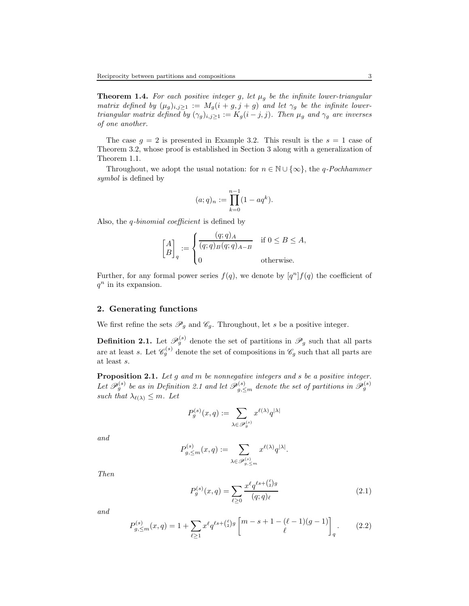<span id="page-2-4"></span>**Theorem 1.4.** For each positive integer g, let  $\mu_g$  be the infinite lower-triangular matrix defined by  $(\mu_g)_{i,j\geq 1} := M_g(i+g,j+g)$  and let  $\gamma_g$  be the infinite lowertriangular matrix defined by  $(\gamma_g)_{i,j\geq 1} := K_g(i-j,j)$ . Then  $\mu_g$  and  $\gamma_g$  are inverses of one another.

The case  $g = 2$  is presented in Example [3.2.](#page-6-0) This result is the  $s = 1$  case of Theorem [3.2,](#page-5-0) whose proof is established in Section [3](#page-4-0) along with a generalization of Theorem [1.1.](#page-0-1)

Throughout, we adopt the usual notation: for  $n \in \mathbb{N} \cup \{\infty\}$ , the q-Pochhammer symbol is defined by

$$
(a;q)_n := \prod_{k=0}^{n-1} (1 - aq^k).
$$

Also, the q-binomial coefficient is defined by

$$
\begin{bmatrix} A \\ B \end{bmatrix}_q := \begin{cases} \frac{(q;q)_A}{(q;q)_B(q;q)_{A-B}} & \text{if } 0 \le B \le A, \\ 0 & \text{otherwise.} \end{cases}
$$

Further, for any formal power series  $f(q)$ , we denote by  $[q<sup>n</sup>] f(q)$  the coefficient of  $q^n$  in its expansion.

#### <span id="page-2-0"></span>2. Generating functions

We first refine the sets  $\mathscr{P}_g$  and  $\mathscr{C}_g$ . Throughout, let s be a positive integer.

<span id="page-2-1"></span>**Definition 2.1.** Let  $\mathscr{P}_{g}^{(s)}$  denote the set of partitions in  $\mathscr{P}_{g}$  such that all parts are at least s. Let  $\mathscr{C}_g^{(s)}$  denote the set of compositions in  $\mathscr{C}_g$  such that all parts are at least s.

Proposition 2.1. Let g and m be nonnegative integers and s be a positive integer. Let  $\mathscr{P}_g^{(s)}$  be as in Definition [2.1](#page-2-1) and let  $\mathscr{P}_{g,\leq m}^{(s)}$  denote the set of partitions in  $\mathscr{P}_g^{(s)}$ such that  $\lambda_{\ell(\lambda)} \leq m$ . Let

$$
P_g^{(s)}(x,q):=\sum_{\lambda\in\mathscr{P}_g^{(s)}}x^{\ell(\lambda)}q^{|\lambda|}
$$

and

$$
P_{g,\leq m}^{(s)}(x,q) := \sum_{\lambda \in \mathscr{P}_{g,\leq m}^{(s)}} x^{\ell(\lambda)} q^{|\lambda|}.
$$

Then

<span id="page-2-3"></span>
$$
P_g^{(s)}(x,q) = \sum_{\ell \ge 0} \frac{x^{\ell} q^{\ell s + \binom{\ell}{2}g}}{(q;q)_{\ell}} \tag{2.1}
$$

and

<span id="page-2-2"></span>
$$
P_{g,\leq m}^{(s)}(x,q) = 1 + \sum_{\ell \geq 1} x^{\ell} q^{\ell s + \binom{\ell}{2} g} \begin{bmatrix} m-s+1-(\ell-1)(g-1) \\ \ell \end{bmatrix}_q.
$$
 (2.2)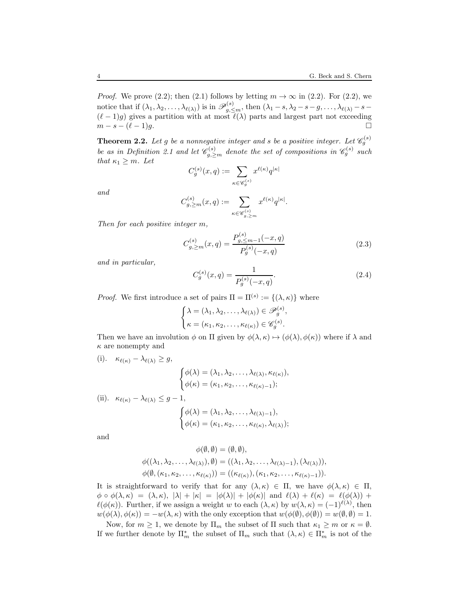*Proof.* We prove [\(2.2\)](#page-2-2); then [\(2.1\)](#page-2-3) follows by letting  $m \to \infty$  in (2.2). For (2.2), we notice that if  $(\lambda_1, \lambda_2, \ldots, \lambda_{\ell(\lambda)})$  is in  $\mathscr{P}_{g, \leq m}^{(s)}$ , then  $(\lambda_1 - s, \lambda_2 - s - g, \ldots, \lambda_{\ell(\lambda)} - s (\ell-1)g$ ) gives a partition with at most  $\ell(\lambda)$  parts and largest part not exceeding  $m - s - (\ell - 1)g$ .

<span id="page-3-0"></span>**Theorem 2.2.** Let g be a nonnegative integer and s be a positive integer. Let  $\mathscr{C}_g^{(s)}$ be as in Definition [2.1](#page-2-1) and let  $\mathscr{C}_{g,\geq m}^{(s)}$  denote the set of compositions in  $\mathscr{C}_{g}^{(s)}$  such that  $\kappa_1 \geq m$ . Let

$$
C_g^{(s)}(x,q):=\sum_{\kappa\in \mathscr{C}_g^{(s)}}x^{\ell(\kappa)}q^{|\kappa|}
$$

and

$$
C^{(s)}_{g,\geq m}(x,q):=\sum_{\kappa\in \mathscr{C}_{g,\geq m}^{(s)}}x^{\ell(\kappa)}q^{|\kappa|}.
$$

Then for each positive integer m,

<span id="page-3-1"></span>
$$
C_{g,\geq m}^{(s)}(x,q) = \frac{P_{g,\leq m-1}^{(s)}(-x,q)}{P_g^{(s)}(-x,q)}\tag{2.3}
$$

and in particular,

<span id="page-3-2"></span>
$$
C_g^{(s)}(x,q) = \frac{1}{P_g^{(s)}(-x,q)}.\t(2.4)
$$

*Proof.* We first introduce a set of pairs  $\Pi = \Pi^{(s)} := \{(\lambda, \kappa)\}\$  where

$$
\begin{cases} \lambda = (\lambda_1, \lambda_2, \dots, \lambda_{\ell(\lambda)}) \in \mathscr{P}_g^{(s)}, \\ \kappa = (\kappa_1, \kappa_2, \dots, \kappa_{\ell(\kappa)}) \in \mathscr{C}_g^{(s)}. \end{cases}
$$

Then we have an involution  $\phi$  on  $\Pi$  given by  $\phi(\lambda, \kappa) \mapsto (\phi(\lambda), \phi(\kappa))$  where if  $\lambda$  and  $\kappa$  are nonempty and

(i). 
$$
\kappa_{\ell(\kappa)} - \lambda_{\ell(\lambda)} \ge g
$$
,  
\n
$$
\begin{cases}\n\phi(\lambda) = (\lambda_1, \lambda_2, \dots, \lambda_{\ell(\lambda)}, \kappa_{\ell(\kappa)}), \\
\phi(\kappa) = (\kappa_1, \kappa_2, \dots, \kappa_{\ell(\kappa)-1});\n\end{cases}
$$
\n(ii).  $\kappa_{\ell(\kappa)} - \lambda_{\ell(\lambda)} \le g - 1$ ,

$$
\begin{cases}\n\phi(\lambda) = (\lambda_1, \lambda_2, \dots, \lambda_{\ell(\lambda)-1}), \\
\phi(\kappa) = (\kappa_1, \kappa_2, \dots, \kappa_{\ell(\kappa)}, \lambda_{\ell(\lambda)}); \n\end{cases}
$$

and

$$
\phi(\emptyset, \emptyset) = (\emptyset, \emptyset),
$$
  
\n
$$
\phi((\lambda_1, \lambda_2, \dots, \lambda_{\ell(\lambda)}), \emptyset) = ((\lambda_1, \lambda_2, \dots, \lambda_{\ell(\lambda)-1}), (\lambda_{\ell(\lambda)})),
$$
  
\n
$$
\phi(\emptyset, (\kappa_1, \kappa_2, \dots, \kappa_{\ell(\kappa)})) = ((\kappa_{\ell(\kappa)}), (\kappa_1, \kappa_2, \dots, \kappa_{\ell(\kappa)-1})).
$$

It is straightforward to verify that for any  $(\lambda, \kappa) \in \Pi$ , we have  $\phi(\lambda, \kappa) \in \Pi$ ,  $\phi \circ \phi(\lambda, \kappa) = (\lambda, \kappa), |\lambda| + |\kappa| = |\phi(\lambda)| + |\phi(\kappa)|$  and  $\ell(\lambda) + \ell(\kappa) = \ell(\phi(\lambda)) +$  $\ell(\phi(\kappa))$ . Further, if we assign a weight w to each  $(\lambda, \kappa)$  by  $w(\lambda, \kappa) = (-1)^{\ell(\lambda)}$ , then  $w(\phi(\lambda), \phi(\kappa)) = -w(\lambda, \kappa)$  with the only exception that  $w(\phi(\emptyset), \phi(\emptyset)) = w(\emptyset, \emptyset) = 1$ .

Now, for  $m \geq 1$ , we denote by  $\Pi_m$  the subset of  $\Pi$  such that  $\kappa_1 \geq m$  or  $\kappa = \emptyset$ . If we further denote by  $\prod_{m}^{*}$  the subset of  $\Pi_m$  such that  $(\lambda, \kappa) \in \Pi_m^*$  is not of the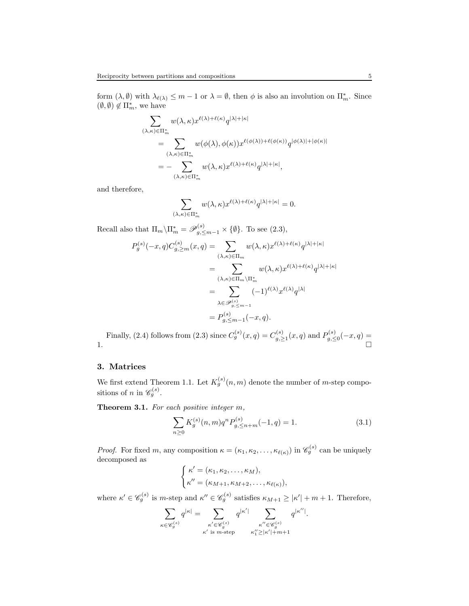form  $(\lambda, \emptyset)$  with  $\lambda_{\ell(\lambda)} \leq m-1$  or  $\lambda = \emptyset$ , then  $\phi$  is also an involution on  $\prod_{m}^*$ . Since  $(\emptyset,\emptyset) \not\in \Pi_m^*,$  we have

$$
\sum_{(\lambda,\kappa)\in\Pi_m^*} w(\lambda,\kappa) x^{\ell(\lambda)+\ell(\kappa)} q^{|\lambda|+|\kappa|}
$$
\n
$$
= \sum_{(\lambda,\kappa)\in\Pi_m^*} w(\phi(\lambda),\phi(\kappa)) x^{\ell(\phi(\lambda))+\ell(\phi(\kappa))} q^{|\phi(\lambda)|+|\phi(\kappa)|}
$$
\n
$$
= - \sum_{(\lambda,\kappa)\in\Pi_m^*} w(\lambda,\kappa) x^{\ell(\lambda)+\ell(\kappa)} q^{|\lambda|+|\kappa|},
$$

and therefore,

$$
\sum_{(\lambda,\kappa)\in\Pi_m^*} w(\lambda,\kappa)x^{\ell(\lambda)+\ell(\kappa)}q^{|\lambda|+|\kappa|}=0.
$$

Recall also that  $\Pi_m \backslash \Pi_m^* = \mathscr{P}_{g, \leq m-1}^{(s)} \times \{\emptyset\}$ . To see [\(2.3\)](#page-3-1),

$$
P_g^{(s)}(-x, q)C_{g, \ge m}^{(s)}(x, q) = \sum_{(\lambda, \kappa) \in \Pi_m} w(\lambda, \kappa) x^{\ell(\lambda) + \ell(\kappa)} q^{|\lambda| + |\kappa|}
$$
  

$$
= \sum_{(\lambda, \kappa) \in \Pi_m \backslash \Pi_m^*} w(\lambda, \kappa) x^{\ell(\lambda) + \ell(\kappa)} q^{|\lambda| + |\kappa|}
$$
  

$$
= \sum_{\lambda \in \mathscr{P}_{g, \le m-1}^{(s)}} (-1)^{\ell(\lambda)} x^{\ell(\lambda)} q^{|\lambda|}
$$
  

$$
= P_{g, \le m-1}^{(s)}(-x, q).
$$

Finally, [\(2.4\)](#page-3-2) follows from [\(2.3\)](#page-3-1) since  $C_g^{(s)}(x,q) = C_g^{(s)}$  $g^{(s)}_{g,\geq 1}(x,q)$  and  $P^{(s)}_{g,\leq 1}$  $g^{(s)}_{, \leq 0}(-x, q) =$ 1.

# <span id="page-4-0"></span>3. Matrices

We first extend Theorem [1.1.](#page-0-1) Let  $K_g^{(s)}(n,m)$  denote the number of m-step compositions of n in  $\mathscr{C}_g^{(s)}$ .

Theorem 3.1. For each positive integer  $m$ ,

<span id="page-4-1"></span>
$$
\sum_{n\geq 0} K_g^{(s)}(n,m) q^n P_{g,\leq n+m}^{(s)}(-1,q) = 1.
$$
\n(3.1)

*Proof.* For fixed m, any composition  $\kappa = (\kappa_1, \kappa_2, \ldots, \kappa_{\ell(\kappa)})$  in  $\mathscr{C}_g^{(s)}$  can be uniquely decomposed as

$$
\begin{cases} \kappa' = (\kappa_1, \kappa_2, \dots, \kappa_M), \\ \kappa'' = (\kappa_{M+1}, \kappa_{M+2}, \dots, \kappa_{\ell(\kappa)}), \end{cases}
$$

where  $\kappa' \in \mathscr{C}_g^{(s)}$  is m-step and  $\kappa'' \in \mathscr{C}_g^{(s)}$  satisfies  $\kappa_{M+1} \geq |\kappa'| + m + 1$ . Therefore,

X κ∈C (s) g q <sup>|</sup>κ<sup>|</sup> = X κ ′∈C (s) g κ ′ is m-step q |κ ′ <sup>|</sup> X κ ′′∈C (s) g κ ′′ <sup>1</sup> ≥|κ ′ |+m+1 q |κ ′′| .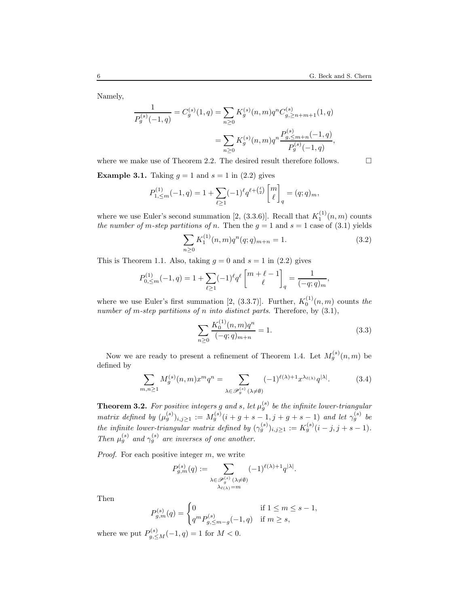Namely,

$$
\frac{1}{P_g^{(s)}(-1,q)} = C_g^{(s)}(1,q) = \sum_{n\geq 0} K_g^{(s)}(n,m)q^n C_{g,\geq n+m+1}^{(s)}(1,q)
$$

$$
= \sum_{n\geq 0} K_g^{(s)}(n,m)q^n \frac{P_{g,\leq m+n}^{(s)}(-1,q)}{P_g^{(s)}(-1,q)},
$$

where we make use of Theorem [2.2.](#page-3-0) The desired result therefore follows.  $\Box$ 

**Example 3.1.** Taking  $g = 1$  and  $s = 1$  in [\(2.2\)](#page-2-2) gives

$$
P_{1,\leq m}^{(1)}(-1,q) = 1 + \sum_{\ell \geq 1} (-1)^{\ell} q^{\ell + \binom{\ell}{2}} \begin{bmatrix} m \\ \ell \end{bmatrix}_q = (q;q)_m,
$$

where we use Euler's second summation [\[2,](#page-8-5) (3.3.6)]. Recall that  $K_1^{(1)}(n,m)$  counts the number of m-step partitions of n. Then the  $g = 1$  and  $s = 1$  case of [\(3.1\)](#page-4-1) yields

$$
\sum_{n\geq 0} K_1^{(1)}(n,m)q^n(q;q)_{m+n} = 1.
$$
\n(3.2)

This is Theorem [1.1.](#page-0-1) Also, taking  $g = 0$  and  $s = 1$  in [\(2.2\)](#page-2-2) gives

$$
P_{0,\leq m}^{(1)}(-1,q) = 1 + \sum_{\ell \geq 1} (-1)^{\ell} q^{\ell} \begin{bmatrix} m+\ell-1 \\ \ell \end{bmatrix}_q = \frac{1}{(-q;q)_m},
$$

where we use Euler's first summation [\[2,](#page-8-5) (3.3.7)]. Further,  $K_0^{(1)}(n,m)$  counts the number of m-step partitions of n into distinct parts. Therefore, by  $(3.1)$ ,

$$
\sum_{n\geq 0} \frac{K_0^{(1)}(n,m)q^n}{(-q;q)_{m+n}} = 1.
$$
\n(3.3)

Now we are ready to present a refinement of Theorem [1.4.](#page-2-4) Let  $M_g^{(s)}(n,m)$  be defined by

$$
\sum_{m,n\geq 1} M_g^{(s)}(n,m)x^m q^n = \sum_{\lambda \in \mathscr{P}_g^{(s)}(\lambda \neq \emptyset)} (-1)^{\ell(\lambda)+1} x^{\lambda_{\ell(\lambda)}} q^{|\lambda|}.
$$
 (3.4)

<span id="page-5-0"></span>**Theorem 3.2.** For positive integers g and s, let  $\mu_g^{(s)}$  be the infinite lower-triangular matrix defined by  $(\mu_g^{(s)})_{i,j\geq 1} := M_g^{(s)}(i+g+s-1,j+g+s-1)$  and let  $\gamma_g^{(s)}$  be the infinite lower-triangular matrix defined by  $(\gamma_g^{(s)})_{i,j\geq 1} := K_g^{(s)}(i-j, j+s-1)$ . Then  $\mu_g^{(s)}$  and  $\gamma_g^{(s)}$  are inverses of one another.

Proof. For each positive integer m, we write

$$
P_{g,m}^{(s)}(q):=\sum_{\substack{\lambda \in \mathscr{P}_g^{(s)}(\lambda \neq \emptyset) \\ \lambda_{\ell(\lambda)}=m}} (-1)^{\ell(\lambda)+1} q^{|\lambda|}.
$$

Then

$$
P_{g,m}^{(s)}(q) = \begin{cases} 0 & \text{if } 1 \le m \le s - 1, \\ q^m P_{g,\le m - g}^{(s)}(-1, q) & \text{if } m \ge s, \end{cases}
$$

where we put  $P_{g,\leq M}^{(s)}(-1,q) = 1$  for  $M < 0$ .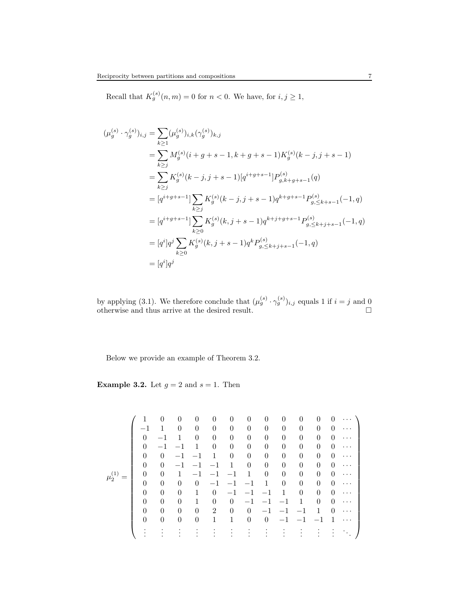Recall that  $K_g^{(s)}(n,m) = 0$  for  $n < 0$ . We have, for  $i, j \geq 1$ ,

$$
\begin{split} (\mu_g^{(s)} \cdot \gamma_g^{(s)})_{i,j} &= \sum_{k \ge 1} (\mu_g^{(s)})_{i,k} (\gamma_g^{(s)})_{k,j} \\ &= \sum_{k \ge j} M_g^{(s)} (i + g + s - 1, k + g + s - 1) K_g^{(s)} (k - j, j + s - 1) \\ &= \sum_{k \ge j} K_g^{(s)} (k - j, j + s - 1) [q^{i + g + s - 1}] P_{g,k+g+s-1}^{(s)}(q) \\ &= [q^{i + g + s - 1}] \sum_{k \ge j} K_g^{(s)} (k - j, j + s - 1) q^{k + g + s - 1} P_{g,\le k+s-1}^{(s)}(-1, q) \\ &= [q^{i + g + s - 1}] \sum_{k \ge 0} K_g^{(s)}(k, j + s - 1) q^{k + j + g + s - 1} P_{g,\le k+j+s-1}^{(s)}(-1, q) \\ &= [q^i] q^j \sum_{k \ge 0} K_g^{(s)}(k, j + s - 1) q^k P_{g,\le k+j+s-1}^{(s)}(-1, q) \\ &= [q^i] q^j \end{split}
$$

by applying [\(3.1\)](#page-4-1). We therefore conclude that  $(\mu_g^{(s)} \cdot \gamma_g^{(s)})_{i,j}$  equals 1 if  $i = j$  and 0 otherwise and thus arrive at the desired result.  $\square$ 

Below we provide an example of Theorem [3.2.](#page-5-0)

<span id="page-6-0"></span>**Example 3.2.** Let  $g = 2$  and  $s = 1$ . Then

µ (1) <sup>2</sup> = 1 0 0 0 0 0 0 0 0 0 0 0 · · · −1 1 0 0 0 0 0 0 0 0 0 0 · · · 0 −1 1 0 0 0 0 0 0 0 0 0 · · · 0 −1 −1 1 0 0 0 0 0 0 0 0 · · · 0 0 −1 −1 1 0 0 0 0 0 0 0 · · · 0 0 −1 −1 −1 1 0 0 0 0 0 0 · · · 0 0 1 −1 −1 −1 1 0 0 0 0 0 · · · 0 0 0 0 −1 −1 −1 1 0 0 0 0 · · · 0 0 0 1 0 −1 −1 −1 1 0 0 0 · · · 0 0 0 1 0 0 −1 −1 −1 1 0 0 · · · 0 0 0 0 2 0 0 −1 −1 −1 1 0 · · · 0 0 0 0 1 1 0 0 −1 −1 −1 1 · · · . . . . . . . . . . . . . . . . . . . . . . . . . . . . . . . . . . . . . . .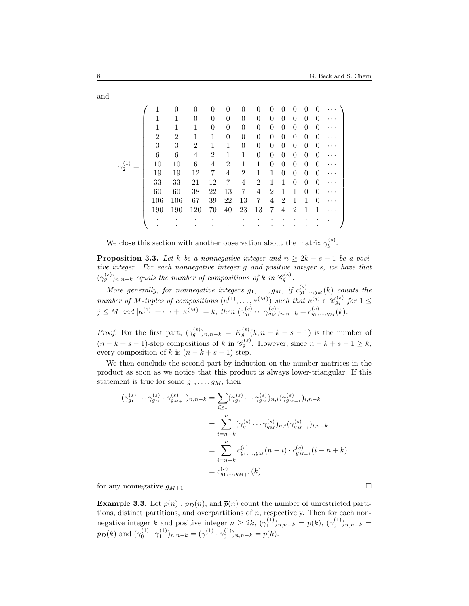γ (1) <sup>2</sup> = 1 0 0 0 0 0 0 0 0 0 0 0 · · · 1 1 0 0 0 0 0 0 0 0 0 0 · · · 1 1 1 0 0 0 0 0 0 0 0 0 · · · 2 2 1 1 0 0 0 0 0 0 0 0 · · · 3 3 2 1 1 0 0 0 0 0 0 0 · · · 6 6 4 2 1 1 0 0 0 0 0 0 · · · 10 10 6 4 2 1 1 0 0 0 0 0 · · · 19 19 12 7 4 2 1 1 0 0 0 0 · · · 33 33 21 12 7 4 2 1 1 0 0 0 · · · 60 60 38 22 13 7 4 2 1 1 0 0 · · · 106 106 67 39 22 13 7 4 2 1 1 0 · · · 190 190 120 70 40 23 13 7 4 2 1 1 · · · . . . . . . . . . . . . . . . . . . . . . . . . . . . . . . . . . . . . . . . .

We close this section with another observation about the matrix  $\gamma_g^{(s)}$ .

**Proposition 3.3.** Let k be a nonnegative integer and  $n > 2k - s + 1$  be a positive integer. For each nonnegative integer g and positive integer s, we have that  $(\gamma_g^{(s)})_{n,n-k}$  equals the number of compositions of k in  $\mathscr{C}_g^{(s)}$ .

More generally, for nonnegative integers  $g_1, \ldots, g_M$ , if  $c_{g_1,\ldots,g_M}^{(s)}(k)$  counts the number of M-tuples of compositions  $(\kappa^{(1)},\ldots,\kappa^{(M)})$  such that  $\kappa^{(j)} \in \mathscr{C}_{g_j}^{(s)}$  for  $1 \leq$  $j \leq M$  and  $|\kappa^{(1)}| + \cdots + |\kappa^{(M)}| = k$ , then  $(\gamma_{g_1}^{(s)} \cdots \gamma_{g_M}^{(s)})_{n,n-k} = c_{g_1,\ldots,g_M}^{(s)}(k)$ .

*Proof.* For the first part,  $(\gamma_g^{(s)})_{n,n-k} = K_g^{(s)}(k,n-k+s-1)$  is the number of  $(n-k+s-1)$ -step compositions of k in  $\mathscr{C}_g^{(s)}$ . However, since  $n-k+s-1\geq k$ , every composition of k is  $(n - k + s - 1)$ -step.

We then conclude the second part by induction on the number matrices in the product as soon as we notice that this product is always lower-triangular. If this statement is true for some  $g_1, \ldots, g_M$ , then

$$
(\gamma_{g_1}^{(s)} \cdots \gamma_{g_M}^{(s)} \cdot \gamma_{g_{M+1}}^{(s)})_{n,n-k} = \sum_{i \ge 1} (\gamma_{g_1}^{(s)} \cdots \gamma_{g_M}^{(s)})_{n,i} (\gamma_{g_{M+1}}^{(s)})_{i,n-k}
$$
  

$$
= \sum_{i=n-k}^{n} (\gamma_{g_1}^{(s)} \cdots \gamma_{g_M}^{(s)})_{n,i} (\gamma_{g_{M+1}}^{(s)})_{i,n-k}
$$
  

$$
= \sum_{i=n-k}^{n} c_{g_1,\ldots,g_M}^{(s)} (n-i) \cdot c_{g_{M+1}}^{(s)} (i-n+k)
$$
  

$$
= c_{g_1,\ldots,g_{M+1}}^{(s)} (k)
$$

for any nonnegative  $q_{M+1}$ .

**Example 3.3.** Let  $p(n)$ ,  $p(n)$ , and  $\overline{p}(n)$  count the number of unrestricted partitions, distinct partitions, and overpartitions of n, respectively. Then for each nonnegative integer  $k$  and positive integer  $n \ge 2k$ ,  $(\gamma_1^{(1)})_{n,n-k} = p(k)$ ,  $(\gamma_0^{(1)})_{n,n-k} =$  $p_D(k)$  and  $(\gamma_0^{(1)} \cdot \gamma_1^{(1)})_{n,n-k} = (\gamma_1^{(1)} \cdot \gamma_0^{(1)})_{n,n-k} = \overline{p}(k)$ .

and